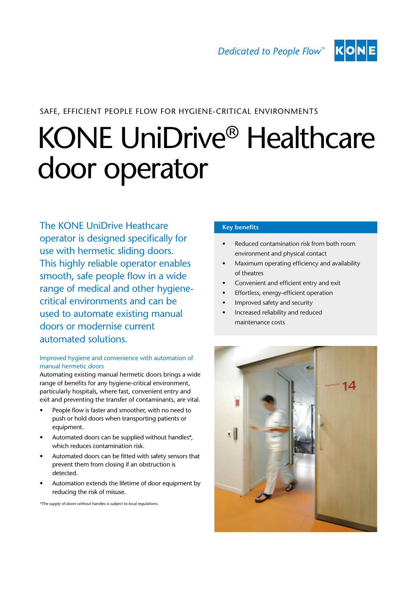

## SAFE, EFFICIENT PEOPLE FLOW FOR HYGIENE-CRITICAL ENVIRONMENTS

# KONE UniDrive® Healthcare door operator

The KONE UniDrive Heathcare operator is designed specifically for use with hermetic sliding doors. This highly reliable operator enables smooth, safe people flow in a wide range of medical and other hygienecritical environments and can be used to automate existing manual doors or modernise current automated solutions.

#### Improved hygiene and convenience with automation of manual hermetic doors

Automating existing manual hermetic doors brings a wide range of benefits for any hygiene-critical environment, particularly hospitals, where fast, convenient entry and exit and preventing the transfer of contaminants, are vital.

- People flow is faster and smoother, with no need to push or hold doors when transporting patients or equipment.
- Automated doors can be supplied without handles\*, which reduces contamination risk.
- Automated doors can be fitted with safety sensors that prevent them from closing if an obstruction is detected.
- Automation extends the lifetime of door equipment by reducing the risk of misuse.

\*The supply of doors without handles is subject to local regulations.

### **Key benefits**

- Reduced contamination risk from both room environment and physical contact
- Maximum operating efficiency and availability of theatres
- Convenient and efficient entry and exit
- Effortless, energy-efficient operation
- Improved safety and security
- Increased reliability and reduced maintenance costs